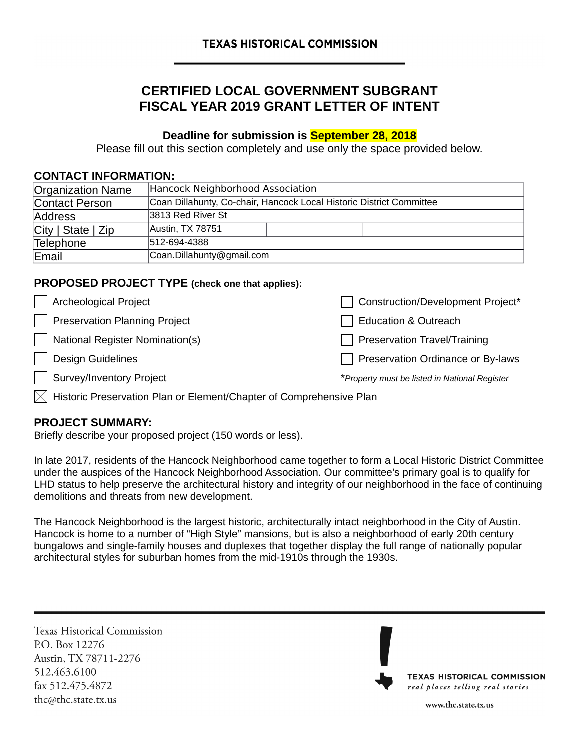# **CERTIFIED LOCAL GOVERNMENT SUBGRANT FISCAL YEAR 2019 GRANT LETTER OF INTENT**

# **Deadline for submission is September 28, 2018**

Please fill out this section completely and use only the space provided below.

#### **CONTACT INFORMATION:**

| Organization Name          | Hancock Neighborhood Association                                     |  |
|----------------------------|----------------------------------------------------------------------|--|
| Contact Person             | Coan Dillahunty, Co-chair, Hancock Local Historic District Committee |  |
| Address                    | 3813 Red River St                                                    |  |
| $\vert$ City   State   Zip | Austin, TX 78751                                                     |  |
| Telephone                  | 512-694-4388                                                         |  |
| Email                      | Coan.Dillahunty@gmail.com                                            |  |

## **PROPOSED PROJECT TYPE (check one that applies):**

| <b>Archeological Project</b>           | Construction/Development Project*             |
|----------------------------------------|-----------------------------------------------|
| <b>Preservation Planning Project</b>   | <b>Education &amp; Outreach</b>               |
| <b>National Register Nomination(s)</b> | <b>Preservation Travel/Training</b>           |
| <b>Design Guidelines</b>               | Preservation Ordinance or By-laws             |
| Survey/Inventory Project               | *Property must be listed in National Register |
|                                        |                                               |

 $\vert\chi\vert$  Historic Preservation Plan or Element/Chapter of Comprehensive Plan

## **PROJECT SUMMARY:**

Briefly describe your proposed project (150 words or less).

In late 2017, residents of the Hancock Neighborhood came together to form a Local Historic District Committee under the auspices of the Hancock Neighborhood Association. Our committee's primary goal is to qualify for LHD status to help preserve the architectural history and integrity of our neighborhood in the face of continuing demolitions and threats from new development.

The Hancock Neighborhood is the largest historic, architecturally intact neighborhood in the City of Austin. Hancock is home to a number of "High Style" mansions, but is also a neighborhood of early 20th century bungalows and single-family houses and duplexes that together display the full range of nationally popular architectural styles for suburban homes from the mid-1910s through the 1930s.

**Texas Historical Commission** P.O. Box 12276 Austin, TX 78711-2276 512.463.6100 fax 512.475.4872 thc@thc.state.tx.us



www.thc.state.tx.us